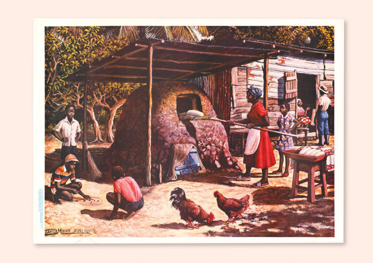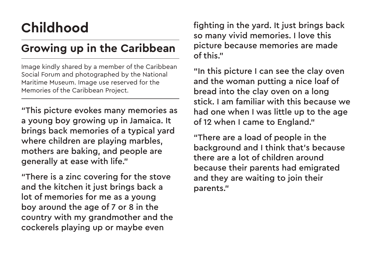#### **Growing up in the Caribbean**

Image kindly shared by a member of the Caribbean Social Forum and photographed by the National Maritime Museum. Image use reserved for the Memories of the Caribbean Project.

"This picture evokes many memories as a young boy growing up in Jamaica. It brings back memories of a typical yard where children are playing marbles, mothers are baking, and people are generally at ease with life."

"There is a zinc covering for the stove and the kitchen it just brings back a lot of memories for me as a young boy around the age of 7 or 8 in the country with my grandmother and the cockerels playing up or maybe even

fighting in the yard. It just brings back so many vivid memories. I love this picture because memories are made of this."

"In this picture I can see the clay oven and the woman putting a nice loaf of bread into the clay oven on a long stick. I am familiar with this because we had one when I was little up to the age of 12 when I came to England."

"There are a load of people in the background and I think that's because there are a lot of children around because their parents had emigrated and they are waiting to join their parents."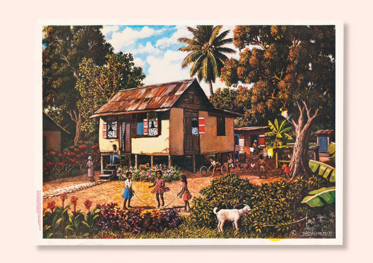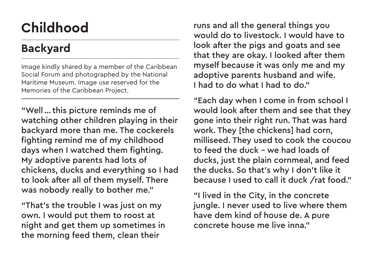#### **Backyard**

Image kindly shared by a member of the Caribbean Social Forum and photographed by the National Maritime Museum. Image use reserved for the Memories of the Caribbean Project.

"Well … this picture reminds me of watching other children playing in their backyard more than me. The cockerels fighting remind me of my childhood days when I watched them fighting. My adoptive parents had lots of chickens, ducks and everything so I had to look after all of them myself. There was nobody really to bother me."

"That's the trouble I was just on my own. I would put them to roost at night and get them up sometimes in the morning feed them, clean their

runs and all the general things you would do to livestock. I would have to look after the pigs and goats and see that they are okay. I looked after them myself because it was only me and my adoptive parents husband and wife. I had to do what I had to do."

"Each day when I come in from school I would look after them and see that they gone into their right run. That was hard work. They [the chickens] had corn, milliseed. They used to cook the coucou to feed the duck – we had loads of ducks, just the plain cornmeal, and feed the ducks. So that's why I don't like it because I used to call it duck /rat food."

"I lived in the City, in the concrete jungle. I never used to live where them have dem kind of house de. A pure concrete house me live inna."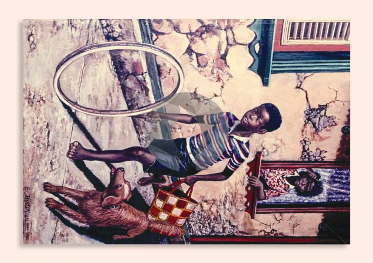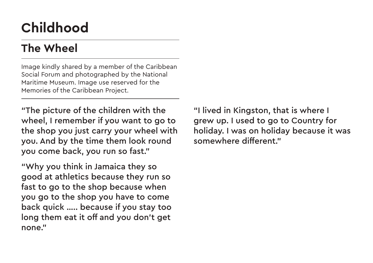#### **The Wheel**

Image kindly shared by a member of the Caribbean Social Forum and photographed by the National Maritime Museum. Image use reserved for the Memories of the Caribbean Project.

"The picture of the children with the wheel, I remember if you want to go to the shop you just carry your wheel with you. And by the time them look round you come back, you run so fast."

"Why you think in Jamaica they so good at athletics because they run so fast to go to the shop because when you go to the shop you have to come back quick ….. because if you stay too long them eat it off and you don't get none."

"I lived in Kingston, that is where I grew up. I used to go to Country for holiday. I was on holiday because it was somewhere different."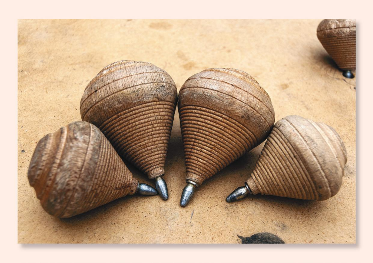